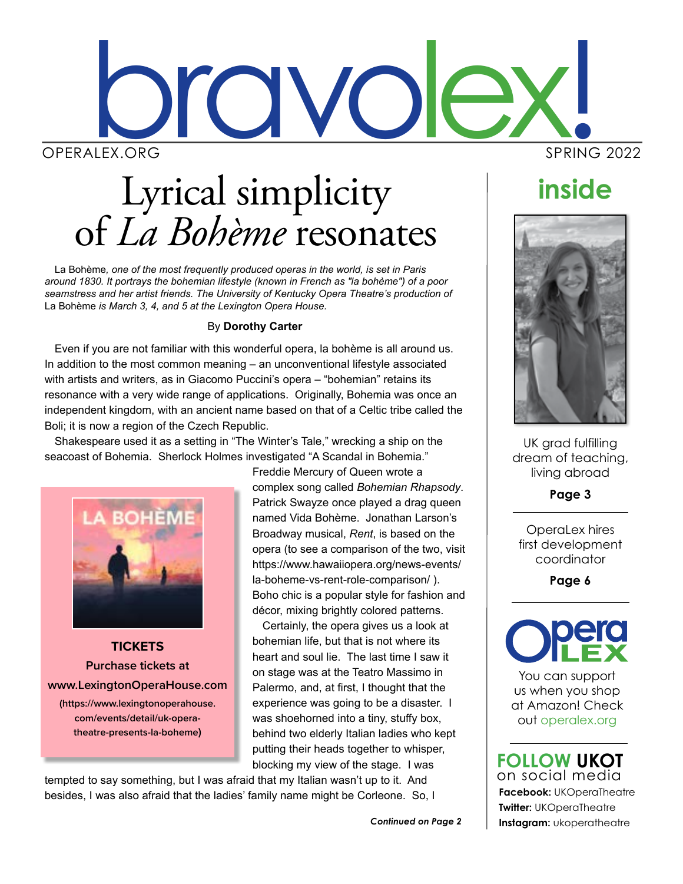

# Lyrical simplicity of *La Bohème* resonates

La Bohème*, one of the most frequently produced operas in the world, is set in Paris around 1830. It portrays the bohemian lifestyle (known in French as "la bohème") of a poor seamstress and her artist friends. The University of Kentucky Opera Theatre's production of*  La Bohème *is March 3, 4, and 5 at the Lexington Opera House.* 

#### By **Dorothy Carter**

Even if you are not familiar with this wonderful opera, la bohème is all around us. In addition to the most common meaning – an unconventional lifestyle associated with artists and writers, as in Giacomo Puccini's opera – "bohemian" retains its resonance with a very wide range of applications. Originally, Bohemia was once an independent kingdom, with an ancient name based on that of a Celtic tribe called the Boli; it is now a region of the Czech Republic.

Shakespeare used it as a setting in "The Winter's Tale," wrecking a ship on the seacoast of Bohemia. Sherlock Holmes investigated "A Scandal in Bohemia."



**TICKETS Purchase tickets at www.LexingtonOperaHouse.com (https://www.lexingtonoperahouse. com/events/detail/uk-operatheatre-presents-la-boheme)**

Freddie Mercury of Queen wrote a complex song called *Bohemian Rhapsody*. Patrick Swayze once played a drag queen named Vida Bohème. Jonathan Larson's Broadway musical, *Rent*, is based on the opera (to see a comparison of the two, visit https://www.hawaiiopera.org/news-events/ la-boheme-vs-rent-role-comparison/ ). Boho chic is a popular style for fashion and décor, mixing brightly colored patterns.

Certainly, the opera gives us a look at bohemian life, but that is not where its heart and soul lie. The last time I saw it on stage was at the Teatro Massimo in Palermo, and, at first, I thought that the experience was going to be a disaster. I was shoehorned into a tiny, stuffy box, behind two elderly Italian ladies who kept putting their heads together to whisper, blocking my view of the stage. I was

tempted to say something, but I was afraid that my Italian wasn't up to it. And besides, I was also afraid that the ladies' family name might be Corleone. So, I

## **inside**



UK grad fulfilling dream of teaching, living abroad

**Page 3**

OperaLex hires first development coordinator

**Page 6**



You can support us when you shop at Amazon! Check out operalex.org

**Facebook:** UKOperaTheatre **Twitter:** UKOperaTheatre *Continued on Page 2* **Instagram:** ukoperatheatre **FOLLOW UKOT** on social media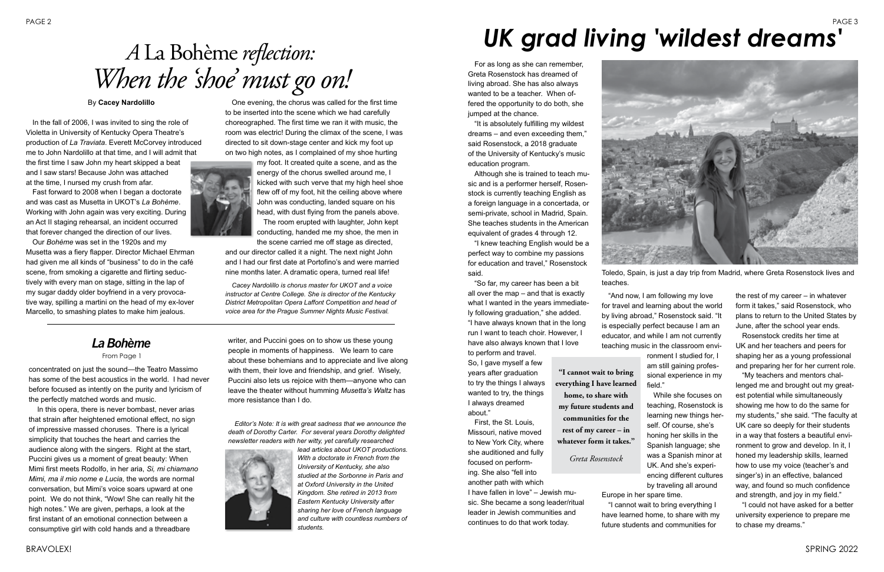For as long as she can remember, Greta Rosenstock has dreamed of living abroad. She has also always wanted to be a teacher. When offered the opportunity to do both, she jumped at the chance.

"It is absolutely fulfilling my wildest dreams – and even exceeding them," said Rosenstock, a 2018 graduate of the University of Kentucky's music education program.

Although she is trained to teach music and is a performer herself, Rosenstock is currently teaching English as a foreign language in a concertada, or semi-private, school in Madrid, Spain. She teaches students in the American equivalent of grades 4 through 12.

"I knew teaching English would be a perfect way to combine my passions for education and travel," Rosenstock said.

"So far, my career has been a bit all over the map – and that is exactly what I wanted in the years immediately following graduation," she added. "I have always known that in the long run I want to teach choir. However, I have also always known that I love to perform and travel.

So, I gave myself a few years after graduation to try the things I always wanted to try, the things I always dreamed about."

First, the St. Louis, Missouri, native moved to New York City, where she auditioned and fully focused on performing. She also "fell into another path with which

I have fallen in love" – Jewish music. She became a song leader/ritual leader in Jewish communities and continues to do that work today.



"And now, I am following my love for travel and learning about the world by living abroad," Rosenstock said. "It is especially perfect because I am an educator, and while I am not currently teaching music in the classroom environment I studied for, I am still gaining professional experience in my field."

"I cannot wait to bring everything I have learned home, to share with my future students and communities for

the rest of my career – in whatever form it takes," said Rosenstock, who plans to return to the United States by June, after the school year ends.

Rosenstock credits her time at UK and her teachers and peers for shaping her as a young professional and preparing her for her current role.

## PAGE 2 PAGE 3 *UK grad living 'wildest dreams'*

"My teachers and mentors challenged me and brought out my greatest potential while simultaneously showing me how to do the same for my students," she said. "The faculty at UK care so deeply for their students in a way that fosters a beautiful environment to grow and develop. In it, I honed my leadership skills, learned how to use my voice (teacher's and singer's) in an effective, balanced way, and found so much confidence and strength, and joy in my field."

"I could not have asked for a better university experience to prepare me to chase my dreams."

concentrated on just the sound—the Teatro Massimo has some of the best acoustics in the world. I had never before focused as intently on the purity and lyricism of the perfectly matched words and music.

 In this opera, there is never bombast, never arias that strain after heightened emotional effect, no sign of impressive massed choruses. There is a lyrical simplicity that touches the heart and carries the audience along with the singers. Right at the start, Puccini gives us a moment of great beauty: When Mimi first meets Rodolfo, in her aria, *Si, mi chiamano Mimi, ma il mio nome e Lucia,* the words are normal conversation, but Mimi's voice soars upward at one point. We do not think, "Wow! She can really hit the high notes." We are given, perhaps, a look at the first instant of an emotional connection between a consumptive girl with cold hands and a threadbare

writer, and Puccini goes on to show us these young people in moments of happiness. We learn to care about these bohemians and to appreciate and live along with them, their love and friendship, and grief. Wisely, Puccini also lets us rejoice with them—anyone who can leave the theater without humming *Musetta's Waltz* has more resistance than I do.

*Editor's Note: It is with great sadness that we announce the death of Dorothy Carter. For several years Dorothy delighted newsletter readers with her witty, yet carefully researched* 



While she focuses on teaching, Rosenstock is learning new things herself. Of course, she's honing her skills in the Spanish language; she was a Spanish minor at UK. And she's experiencing different cultures by traveling all around Europe in her spare time. **"I cannot wait to bring everything I have learned home, to share with my future students and communities for the rest of my career – in whatever form it takes."** *Greta Rosenstock*

*lead articles about UKOT productions. With a doctorate in French from the University of Kentucky, she also studied at the Sorbonne in Paris and at Oxford University in the United Kingdom. She retired in 2013 from Eastern Kentucky University after sharing her love of French language and culture with countless numbers of students.*



Toledo, Spain, is just a day trip from Madrid, where Greta Rosenstock lives and

teaches.

# *A* La Bohème *reflection: When the 'shoe' must go on!*

#### By **Cacey Nardolillo**

In the fall of 2006, I was invited to sing the role of Violetta in University of Kentucky Opera Theatre's production of *La Traviata*. Everett McCorvey introduced me to John Nardolillo at that time, and I will admit that the first time I saw John my heart skipped a beat and I saw stars! Because John was attached at the time, I nursed my crush from afar.

Fast forward to 2008 when I began a doctorate and was cast as Musetta in UKOT's *La Bohème*. Working with John again was very exciting. During an Act II staging rehearsal, an incident occurred that forever changed the direction of our lives.

Our *Bohème* was set in the 1920s and my Musetta was a fiery flapper. Director Michael Ehrman had given me all kinds of "business" to do in the café scene, from smoking a cigarette and flirting seductively with every man on stage, sitting in the lap of my sugar daddy older boyfriend in a very provocative way, spilling a martini on the head of my ex-lover Marcello, to smashing plates to make him jealous.

One evening, the chorus was called for the first time to be inserted into the scene which we had carefully choreographed. The first time we ran it with music, the room was electric! During the climax of the scene, I was directed to sit down-stage center and kick my foot up on two high notes, as I complained of my shoe hurting



my foot. It created quite a scene, and as the energy of the chorus swelled around me, I kicked with such verve that my high heel shoe flew off of my foot, hit the ceiling above where John was conducting, landed square on his head, with dust flying from the panels above.

The room erupted with laughter, John kept conducting, handed me my shoe, the men in the scene carried me off stage as directed,

and our director called it a night. The next night John and I had our first date at Portofino's and were married nine months later. A dramatic opera, turned real life!

*Cacey Nardolillo is chorus master for UKOT and a voice instructor at Centre College. She is director of the Kentucky District Metropolitan Opera Laffont Competition and head of voice area for the Prague Summer Nights Music Festival.*

## *La Bohème*

#### From Page 1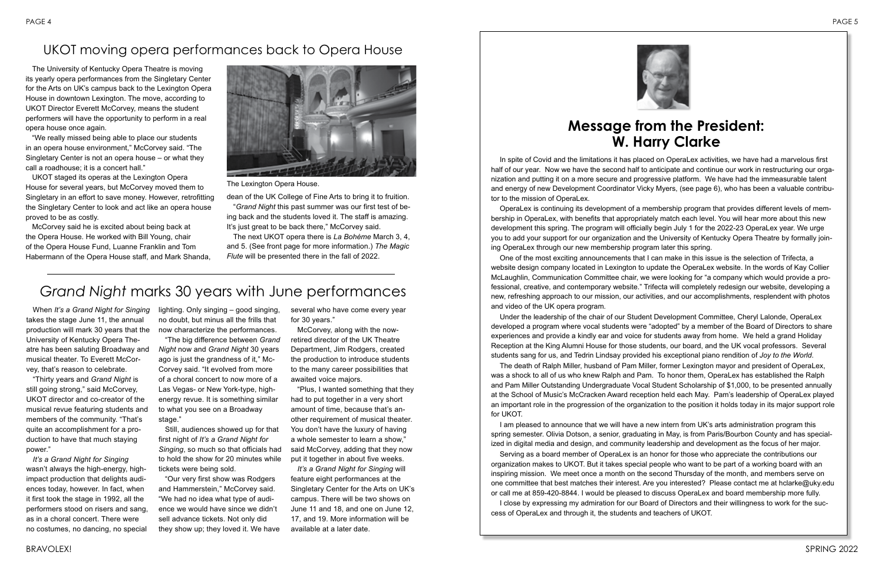In spite of Covid and the limitations it has placed on OperaLex activities, we have had a marvelous first half of our year. Now we have the second half to anticipate and continue our work in restructuring our organization and putting it on a more secure and progressive platform. We have had the immeasurable talent and energy of new Development Coordinator Vicky Myers, (see page 6), who has been a valuable contributor to the mission of OperaLex.

OperaLex is continuing its development of a membership program that provides different levels of membership in OperaLex, with benefits that appropriately match each level. You will hear more about this new development this spring. The program will officially begin July 1 for the 2022-23 OperaLex year. We urge you to add your support for our organization and the University of Kentucky Opera Theatre by formally joining OperaLex through our new membership program later this spring.

One of the most exciting announcements that I can make in this issue is the selection of Trifecta, a website design company located in Lexington to update the OperaLex website. In the words of Kay Collier McLaughlin, Communication Committee chair, we were looking for "a company which would provide a professional, creative, and contemporary website." Trifecta will completely redesign our website, developing a new, refreshing approach to our mission, our activities, and our accomplishments, resplendent with photos and video of the UK opera program.

Under the leadership of the chair of our Student Development Committee, Cheryl Lalonde, OperaLex developed a program where vocal students were "adopted" by a member of the Board of Directors to share experiences and provide a kindly ear and voice for students away from home. We held a grand Holiday Reception at the King Alumni House for those students, our board, and the UK vocal professors. Several students sang for us, and Tedrin Lindsay provided his exceptional piano rendition of *Joy to the World*. The death of Ralph Miller, husband of Pam Miller, former Lexington mayor and president of OperaLex, was a shock to all of us who knew Ralph and Pam. To honor them, OperaLex has established the Ralph and Pam Miller Outstanding Undergraduate Vocal Student Scholarship of \$1,000, to be presented annually at the School of Music's McCracken Award reception held each May. Pam's leadership of OperaLex played an important role in the progression of the organization to the position it holds today in its major support role

for UKOT.

"The big difference between *Grand Night* now and *Grand Night* 30 years ago is just the grandness of it," Mc-Corvey said. "It evolved from more of a choral concert to now more of a Las Vegas- or New York-type, highenergy revue. It is something similar to what you see on a Broadway stage."

I am pleased to announce that we will have a new intern from UK's arts administration program this spring semester. Olivia Dotson, a senior, graduating in May, is from Paris/Bourbon County and has specialized in digital media and design, and community leadership and development as the focus of her major. Serving as a board member of OperaLex is an honor for those who appreciate the contributions our organization makes to UKOT. But it takes special people who want to be part of a working board with an inspiring mission. We meet once a month on the second Thursday of the month, and members serve on one committee that best matches their interest. Are you interested? Please contact me at hclarke@uky.edu or call me at 859-420-8844. I would be pleased to discuss OperaLex and board membership more fully. I close by expressing my admiration for our Board of Directors and their willingness to work for the success of OperaLex and through it, the students and teachers of UKOT.

## **Message from the President: W. Harry Clarke**

## *Grand Night* marks 30 years with June performances

## UKOT moving opera performances back to Opera House

The University of Kentucky Opera Theatre is moving its yearly opera performances from the Singletary Center for the Arts on UK's campus back to the Lexington Opera House in downtown Lexington. The move, according to UKOT Director Everett McCorvey, means the student performers will have the opportunity to perform in a real opera house once again.

"We really missed being able to place our students in an opera house environment," McCorvey said. "The Singletary Center is not an opera house – or what they call a roadhouse; it is a concert hall."

UKOT staged its operas at the Lexington Opera House for several years, but McCorvey moved them to Singletary in an effort to save money. However, retrofitting the Singletary Center to look and act like an opera house proved to be as costly.

McCorvey said he is excited about being back at the Opera House. He worked with Bill Young, chair of the Opera House Fund, Luanne Franklin and Tom Habermann of the Opera House staff, and Mark Shanda, dean of the UK College of Fine Arts to bring it to fruition.

"*Grand Night* this past summer was our first test of being back and the students loved it. The staff is amazing. It's just great to be back there," McCorvey said.

The next UKOT opera there is *La Bohème* March 3, 4, and 5. (See front page for more information.) *The Magic Flute* will be presented there in the fall of 2022.

When *It's a Grand Night for Singing* takes the stage June 11, the annual production will mark 30 years that the now characterize the performances. University of Kentucky Opera Theatre has been saluting Broadway and musical theater. To Everett McCorvey, that's reason to celebrate.

"Thirty years and *Grand Night* is still going strong," said McCorvey, UKOT director and co-creator of the musical revue featuring students and members of the community. "That's quite an accomplishment for a production to have that much staying power."

*It's a Grand Night for Singing* wasn't always the high-energy, highimpact production that delights audiences today, however. In fact, when it first took the stage in 1992, all the performers stood on risers and sang, as in a choral concert. There were no costumes, no dancing, no special lighting. Only singing – good singing, no doubt, but minus all the frills that

Still, audiences showed up for that first night of *It's a Grand Night for Singing*, so much so that officials had to hold the show for 20 minutes while tickets were being sold.

"Our very first show was Rodgers and Hammerstein," McCorvey said. "We had no idea what type of audience we would have since we didn't sell advance tickets. Not only did they show up; they loved it. We have

several who have come every year for 30 years."

McCorvey, along with the nowretired director of the UK Theatre Department, Jim Rodgers, created the production to introduce students to the many career possibilities that awaited voice majors.

"Plus, I wanted something that they had to put together in a very short amount of time, because that's another requirement of musical theater. You don't have the luxury of having a whole semester to learn a show," said McCorvey, adding that they now put it together in about five weeks.

*It's a Grand Night for Singing* will feature eight performances at the Singletary Center for the Arts on UK's campus. There will be two shows on June 11 and 18, and one on June 12, 17, and 19. More information will be available at a later date.





The Lexington Opera House.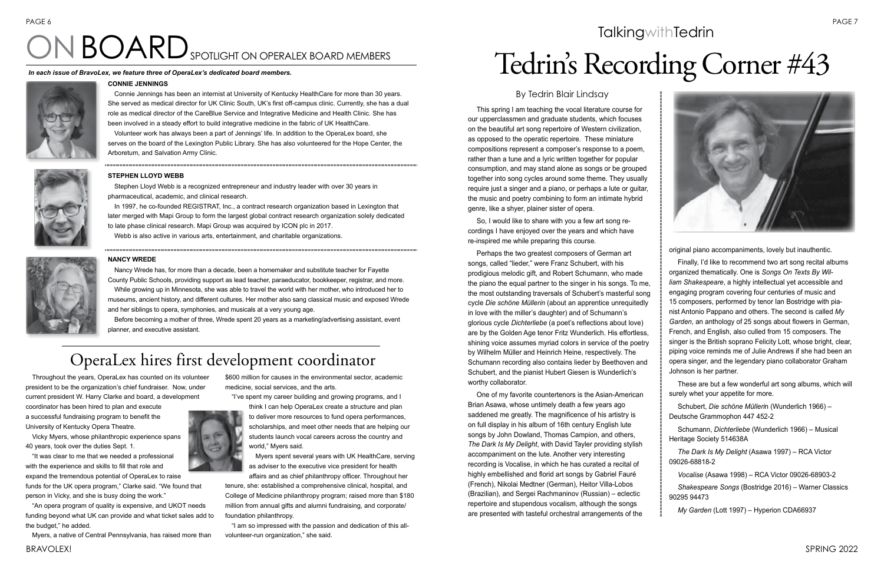BRAVOLEX! SPRING 2022

This spring I am teaching the vocal literature course for our upperclassmen and graduate students, which focuses on the beautiful art song repertoire of Western civilization, as opposed to the operatic repertoire. These miniature compositions represent a composer's response to a poem, rather than a tune and a lyric written together for popular consumption, and may stand alone as songs or be grouped together into song cycles around some theme. They usually require just a singer and a piano, or perhaps a lute or guitar, the music and poetry combining to form an intimate hybrid genre, like a shyer, plainer sister of opera.

So, I would like to share with you a few art song recordings I have enjoyed over the years and which have re-inspired me while preparing this course.

Perhaps the two greatest composers of German art songs, called "lieder," were Franz Schubert, with his prodigious melodic gift, and Robert Schumann, who made the piano the equal partner to the singer in his songs. To me, the most outstanding traversals of Schubert's masterful song cycle *Die schöne Müllerin* (about an apprentice unrequitedly in love with the miller's daughter) and of Schumann's glorious cycle *Dichterliebe* (a poet's reflections about love) are by the Golden Age tenor Fritz Wunderlich. His effortless, shining voice assumes myriad colors in service of the poetry by Wilhelm Müller and Heinrich Heine, respectively. The Schumann recording also contains lieder by Beethoven and Schubert, and the pianist Hubert Giesen is Wunderlich's worthy collaborator.

One of my favorite countertenors is the Asian-American Brian Asawa, whose untimely death a few years ago saddened me greatly. The magnificence of his artistry is on full display in his album of 16th century English lute songs by John Dowland, Thomas Campion, and others, *The Dark Is My Delight*, with David Tayler providing stylish accompaniment on the lute. Another very interesting recording is Vocalise, in which he has curated a recital of highly embellished and florid art songs by Gabriel Fauré (French), Nikolai Medtner (German), Heitor Villa-Lobos (Brazilian), and Sergei Rachmaninov (Russian) – eclectic repertoire and stupendous vocalism, although the songs are presented with tasteful orchestral arrangements of the



## **TalkingwithTedrin**



original piano accompaniments, lovely but inauthentic.

Finally, I'd like to recommend two art song recital albums organized thematically. One is *Songs On Texts By William Shakespeare*, a highly intellectual yet accessible and engaging program covering four centuries of music and 15 composers, performed by tenor Ian Bostridge with pianist Antonio Pappano and others. The second is called *My Garden*, an anthology of 25 songs about flowers in German, French, and English, also culled from 15 composers. The singer is the British soprano Felicity Lott, whose bright, clear, piping voice reminds me of Julie Andrews if she had been an opera singer, and the legendary piano collaborator Graham Johnson is her partner.

These are but a few wonderful art song albums, which will surely whet your appetite for more.

Schubert, *Die schöne Mülleri*n (Wunderlich 1966) – Deutsche Grammophon 447 452-2

Schumann, *Dichterliebe* (Wunderlich 1966) – Musical Heritage Society 514638A

*The Dark Is My Delight* (Asawa 1997) – RCA Victor 09026-68818-2

*Vocalise* (Asawa 1998) – RCA Victor 09026-68903-2

*Shakespeare Songs* (Bostridge 2016) – Warner Classics 90295 94473

*My Garden* (Lott 1997) – Hyperion CDA66937

### By Tedrin Blair Lindsay

# Tedrin's Recording Corner #43 ON BOARDSPOTLIGHT ON OPERALEX BOARD MEMBERS

### **CONNIE JENNINGS**

Connie Jennings has been an internist at University of Kentucky HealthCare for more than 30 years. She served as medical director for UK Clinic South, UK's first off-campus clinic. Currently, she has a dual role as medical director of the CareBlue Service and Integrative Medicine and Health Clinic. She has been involved in a steady effort to build integrative medicine in the fabric of UK HealthCare.

Volunteer work has always been a part of Jennings' life. In addition to the OperaLex board, she serves on the board of the Lexington Public Library. She has also volunteered for the Hope Center, the Arboretum, and Salvation Army Clinic.



#### **NANCY WREDE**

Nancy Wrede has, for more than a decade, been a homemaker and substitute teacher for Fayette County Public Schools, providing support as lead teacher, paraeducator, bookkeeper, registrar, and more. While growing up in Minnesota, she was able to travel the world with her mother, who introduced her to museums, ancient history, and different cultures. Her mother also sang classical music and exposed Wrede and her siblings to opera, symphonies, and musicals at a very young age.

Before becoming a mother of three, Wrede spent 20 years as a marketing/advertising assistant, event planner, and executive assistant.

#### **STEPHEN LLOYD WEBB**

Stephen Lloyd Webb is a recognized entrepreneur and industry leader with over 30 years in pharmaceutical, academic, and clinical research.

In 1997, he co-founded REGISTRAT, Inc., a contract research organization based in Lexington that later merged with Mapi Group to form the largest global contract research organization solely dedicated to late phase clinical research. Mapi Group was acquired by ICON plc in 2017. Webb is also active in various arts, entertainment, and charitable organizations.

Throughout the years, OperaLex has counted on its volunteer president to be the organization's chief fundraiser. Now, under current president W. Harry Clarke and board, a development

coordinator has been hired to plan and execute a successful fundraising program to benefit the University of Kentucky Opera Theatre.

Vicky Myers, whose philanthropic experience spans 40 years, took over the duties Sept. 1.

"It was clear to me that we needed a professional with the experience and skills to fill that role and expand the tremendous potential of OperaLex to raise funds for the UK opera program," Clarke said. "We found that person in Vicky, and she is busy doing the work."

"An opera program of quality is expensive, and UKOT needs funding beyond what UK can provide and what ticket sales add to the budget," he added.

Myers, a native of Central Pennsylvania, has raised more than

\$600 million for causes in the environmental sector, academic medicine, social services, and the arts.

"I've spent my career building and growing programs, and I

think I can help OperaLex create a structure and plan to deliver more resources to fund opera performances, scholarships, and meet other needs that are helping our students launch vocal careers across the country and world," Myers said.

Myers spent several years with UK HealthCare, serving as adviser to the executive vice president for health

affairs and as chief philanthropy officer. Throughout her tenure, she: established a comprehensive clinical, hospital, and College of Medicine philanthropy program; raised more than \$180 million from annual gifts and alumni fundraising, and corporate/ foundation philanthropy.

"I am so impressed with the passion and dedication of this allvolunteer-run organization," she said.

## OperaLex hires first development coordinator

#### *In each issue of BravoLex, we feature three of OperaLex's dedicated board members.*